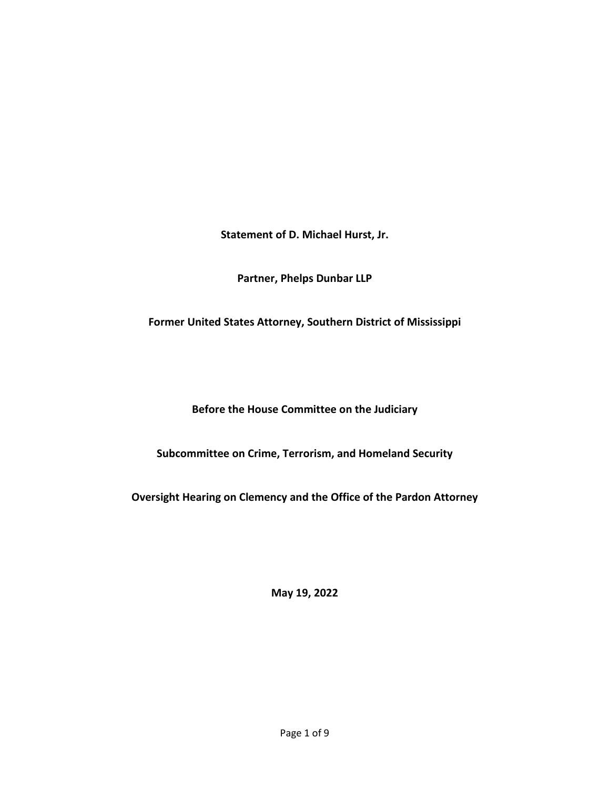**Statement of D. Michael Hurst, Jr.**

**Partner, Phelps Dunbar LLP**

**Former United States Attorney, Southern District of Mississippi**

**Before the House Committee on the Judiciary**

**Subcommittee on Crime, Terrorism, and Homeland Security**

**Oversight Hearing on Clemency and the Office of the Pardon Attorney**

**May 19, 2022**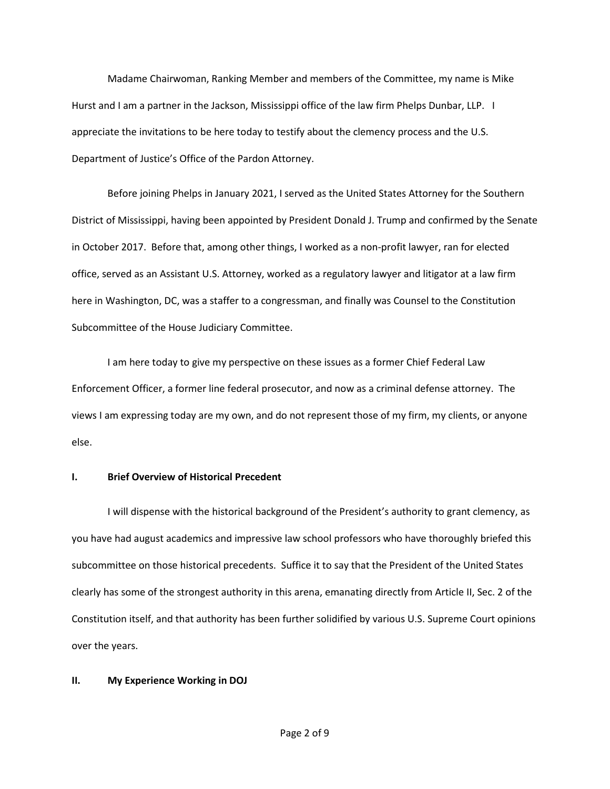Madame Chairwoman, Ranking Member and members of the Committee, my name is Mike Hurst and I am a partner in the Jackson, Mississippi office of the law firm Phelps Dunbar, LLP. I appreciate the invitations to be here today to testify about the clemency process and the U.S. Department of Justice's Office of the Pardon Attorney.

Before joining Phelps in January 2021, I served as the United States Attorney for the Southern District of Mississippi, having been appointed by President Donald J. Trump and confirmed by the Senate in October 2017. Before that, among other things, I worked as a non-profit lawyer, ran for elected office, served as an Assistant U.S. Attorney, worked as a regulatory lawyer and litigator at a law firm here in Washington, DC, was a staffer to a congressman, and finally was Counsel to the Constitution Subcommittee of the House Judiciary Committee.

I am here today to give my perspective on these issues as a former Chief Federal Law Enforcement Officer, a former line federal prosecutor, and now as a criminal defense attorney. The views I am expressing today are my own, and do not represent those of my firm, my clients, or anyone else.

# **I. Brief Overview of Historical Precedent**

I will dispense with the historical background of the President's authority to grant clemency, as you have had august academics and impressive law school professors who have thoroughly briefed this subcommittee on those historical precedents. Suffice it to say that the President of the United States clearly has some of the strongest authority in this arena, emanating directly from Article II, Sec. 2 of the Constitution itself, and that authority has been further solidified by various U.S. Supreme Court opinions over the years.

### **II. My Experience Working in DOJ**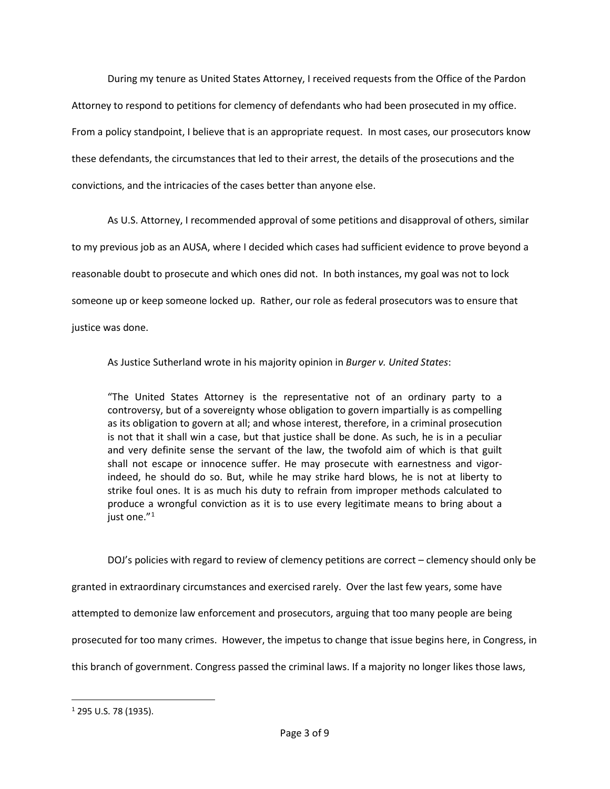During my tenure as United States Attorney, I received requests from the Office of the Pardon Attorney to respond to petitions for clemency of defendants who had been prosecuted in my office. From a policy standpoint, I believe that is an appropriate request. In most cases, our prosecutors know these defendants, the circumstances that led to their arrest, the details of the prosecutions and the convictions, and the intricacies of the cases better than anyone else.

As U.S. Attorney, I recommended approval of some petitions and disapproval of others, similar to my previous job as an AUSA, where I decided which cases had sufficient evidence to prove beyond a reasonable doubt to prosecute and which ones did not. In both instances, my goal was not to lock someone up or keep someone locked up. Rather, our role as federal prosecutors was to ensure that justice was done.

As Justice Sutherland wrote in his majority opinion in *Burger v. United States*:

"The United States Attorney is the representative not of an ordinary party to a controversy, but of a sovereignty whose obligation to govern impartially is as compelling as its obligation to govern at all; and whose interest, therefore, in a criminal prosecution is not that it shall win a case, but that justice shall be done. As such, he is in a peculiar and very definite sense the servant of the law, the twofold aim of which is that guilt shall not escape or innocence suffer. He may prosecute with earnestness and vigorindeed, he should do so. But, while he may strike hard blows, he is not at liberty to strike foul ones. It is as much his duty to refrain from improper methods calculated to produce a wrongful conviction as it is to use every legitimate means to bring about a just one."<sup>[1](#page-2-0)</sup>

DOJ's policies with regard to review of clemency petitions are correct – clemency should only be granted in extraordinary circumstances and exercised rarely. Over the last few years, some have attempted to demonize law enforcement and prosecutors, arguing that too many people are being prosecuted for too many crimes. However, the impetus to change that issue begins here, in Congress, in this branch of government. Congress passed the criminal laws. If a majority no longer likes those laws,

<span id="page-2-0"></span><sup>1</sup> 295 U.S. 78 (1935).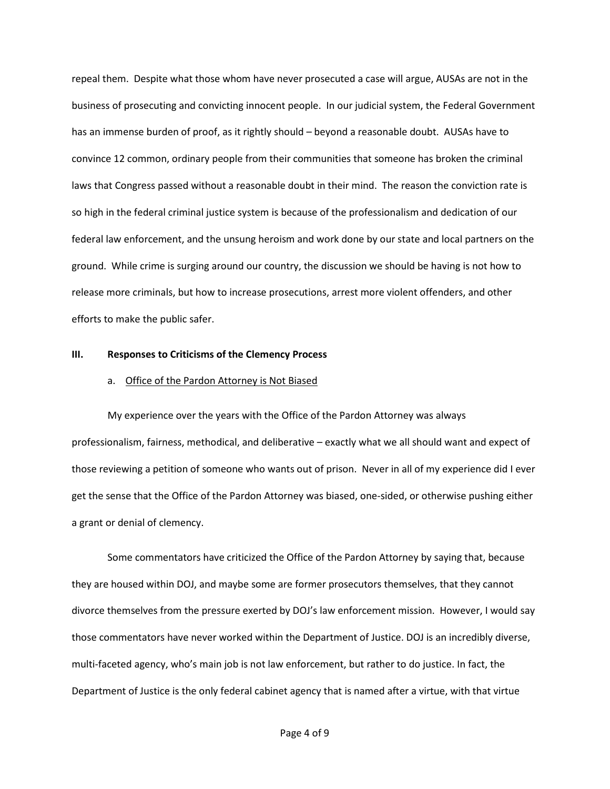repeal them. Despite what those whom have never prosecuted a case will argue, AUSAs are not in the business of prosecuting and convicting innocent people. In our judicial system, the Federal Government has an immense burden of proof, as it rightly should – beyond a reasonable doubt. AUSAs have to convince 12 common, ordinary people from their communities that someone has broken the criminal laws that Congress passed without a reasonable doubt in their mind. The reason the conviction rate is so high in the federal criminal justice system is because of the professionalism and dedication of our federal law enforcement, and the unsung heroism and work done by our state and local partners on the ground. While crime is surging around our country, the discussion we should be having is not how to release more criminals, but how to increase prosecutions, arrest more violent offenders, and other efforts to make the public safer.

#### **III. Responses to Criticisms of the Clemency Process**

#### a. Office of the Pardon Attorney is Not Biased

My experience over the years with the Office of the Pardon Attorney was always professionalism, fairness, methodical, and deliberative – exactly what we all should want and expect of those reviewing a petition of someone who wants out of prison. Never in all of my experience did I ever get the sense that the Office of the Pardon Attorney was biased, one-sided, or otherwise pushing either a grant or denial of clemency.

Some commentators have criticized the Office of the Pardon Attorney by saying that, because they are housed within DOJ, and maybe some are former prosecutors themselves, that they cannot divorce themselves from the pressure exerted by DOJ's law enforcement mission. However, I would say those commentators have never worked within the Department of Justice. DOJ is an incredibly diverse, multi-faceted agency, who's main job is not law enforcement, but rather to do justice. In fact, the Department of Justice is the only federal cabinet agency that is named after a virtue, with that virtue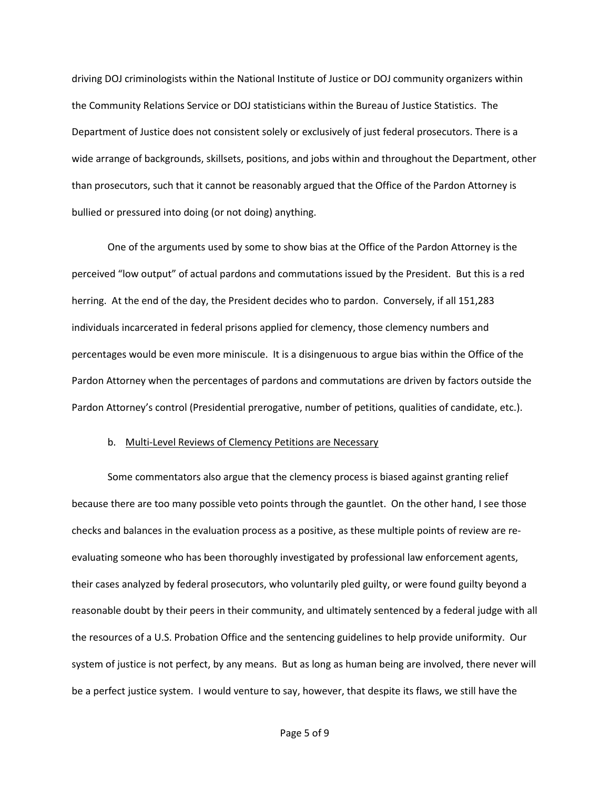driving DOJ criminologists within the National Institute of Justice or DOJ community organizers within the Community Relations Service or DOJ statisticians within the Bureau of Justice Statistics. The Department of Justice does not consistent solely or exclusively of just federal prosecutors. There is a wide arrange of backgrounds, skillsets, positions, and jobs within and throughout the Department, other than prosecutors, such that it cannot be reasonably argued that the Office of the Pardon Attorney is bullied or pressured into doing (or not doing) anything.

One of the arguments used by some to show bias at the Office of the Pardon Attorney is the perceived "low output" of actual pardons and commutations issued by the President. But this is a red herring. At the end of the day, the President decides who to pardon. Conversely, if all 151,283 individuals incarcerated in federal prisons applied for clemency, those clemency numbers and percentages would be even more miniscule. It is a disingenuous to argue bias within the Office of the Pardon Attorney when the percentages of pardons and commutations are driven by factors outside the Pardon Attorney's control (Presidential prerogative, number of petitions, qualities of candidate, etc.).

### b. Multi-Level Reviews of Clemency Petitions are Necessary

Some commentators also argue that the clemency process is biased against granting relief because there are too many possible veto points through the gauntlet. On the other hand, I see those checks and balances in the evaluation process as a positive, as these multiple points of review are reevaluating someone who has been thoroughly investigated by professional law enforcement agents, their cases analyzed by federal prosecutors, who voluntarily pled guilty, or were found guilty beyond a reasonable doubt by their peers in their community, and ultimately sentenced by a federal judge with all the resources of a U.S. Probation Office and the sentencing guidelines to help provide uniformity. Our system of justice is not perfect, by any means. But as long as human being are involved, there never will be a perfect justice system. I would venture to say, however, that despite its flaws, we still have the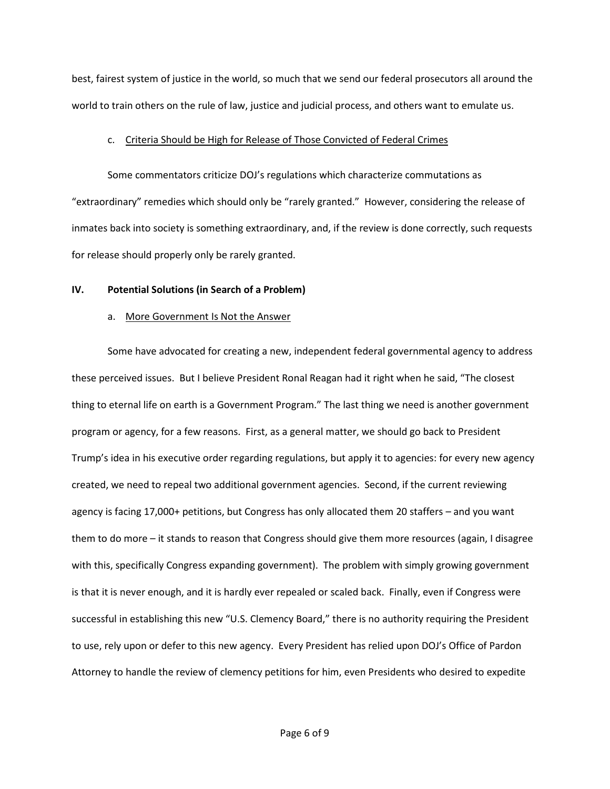best, fairest system of justice in the world, so much that we send our federal prosecutors all around the world to train others on the rule of law, justice and judicial process, and others want to emulate us.

## c. Criteria Should be High for Release of Those Convicted of Federal Crimes

Some commentators criticize DOJ's regulations which characterize commutations as "extraordinary" remedies which should only be "rarely granted." However, considering the release of inmates back into society is something extraordinary, and, if the review is done correctly, such requests for release should properly only be rarely granted.

# **IV. Potential Solutions (in Search of a Problem)**

# a. More Government Is Not the Answer

Some have advocated for creating a new, independent federal governmental agency to address these perceived issues. But I believe President Ronal Reagan had it right when he said, "The closest thing to eternal life on earth is a Government Program." The last thing we need is another government program or agency, for a few reasons. First, as a general matter, we should go back to President Trump's idea in his executive order regarding regulations, but apply it to agencies: for every new agency created, we need to repeal two additional government agencies. Second, if the current reviewing agency is facing 17,000+ petitions, but Congress has only allocated them 20 staffers – and you want them to do more – it stands to reason that Congress should give them more resources (again, I disagree with this, specifically Congress expanding government). The problem with simply growing government is that it is never enough, and it is hardly ever repealed or scaled back. Finally, even if Congress were successful in establishing this new "U.S. Clemency Board," there is no authority requiring the President to use, rely upon or defer to this new agency. Every President has relied upon DOJ's Office of Pardon Attorney to handle the review of clemency petitions for him, even Presidents who desired to expedite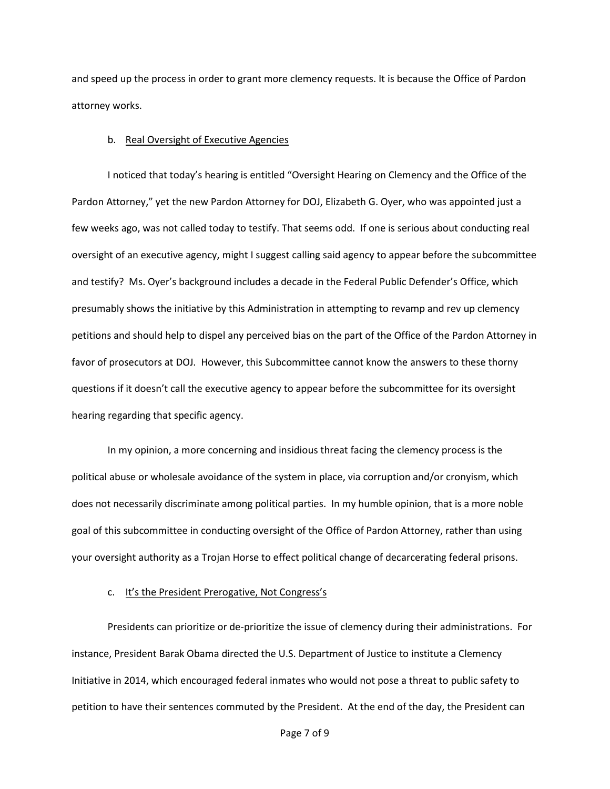and speed up the process in order to grant more clemency requests. It is because the Office of Pardon attorney works.

### b. Real Oversight of Executive Agencies

I noticed that today's hearing is entitled "Oversight Hearing on Clemency and the Office of the Pardon Attorney," yet the new Pardon Attorney for DOJ, Elizabeth G. Oyer, who was appointed just a few weeks ago, was not called today to testify. That seems odd. If one is serious about conducting real oversight of an executive agency, might I suggest calling said agency to appear before the subcommittee and testify? Ms. Oyer's background includes a decade in the Federal Public Defender's Office, which presumably shows the initiative by this Administration in attempting to revamp and rev up clemency petitions and should help to dispel any perceived bias on the part of the Office of the Pardon Attorney in favor of prosecutors at DOJ. However, this Subcommittee cannot know the answers to these thorny questions if it doesn't call the executive agency to appear before the subcommittee for its oversight hearing regarding that specific agency.

In my opinion, a more concerning and insidious threat facing the clemency process is the political abuse or wholesale avoidance of the system in place, via corruption and/or cronyism, which does not necessarily discriminate among political parties. In my humble opinion, that is a more noble goal of this subcommittee in conducting oversight of the Office of Pardon Attorney, rather than using your oversight authority as a Trojan Horse to effect political change of decarcerating federal prisons.

### c. It's the President Prerogative, Not Congress's

Presidents can prioritize or de-prioritize the issue of clemency during their administrations. For instance, President Barak Obama directed the U.S. Department of Justice to institute a Clemency Initiative in 2014, which encouraged federal inmates who would not pose a threat to public safety to petition to have their sentences commuted by the President. At the end of the day, the President can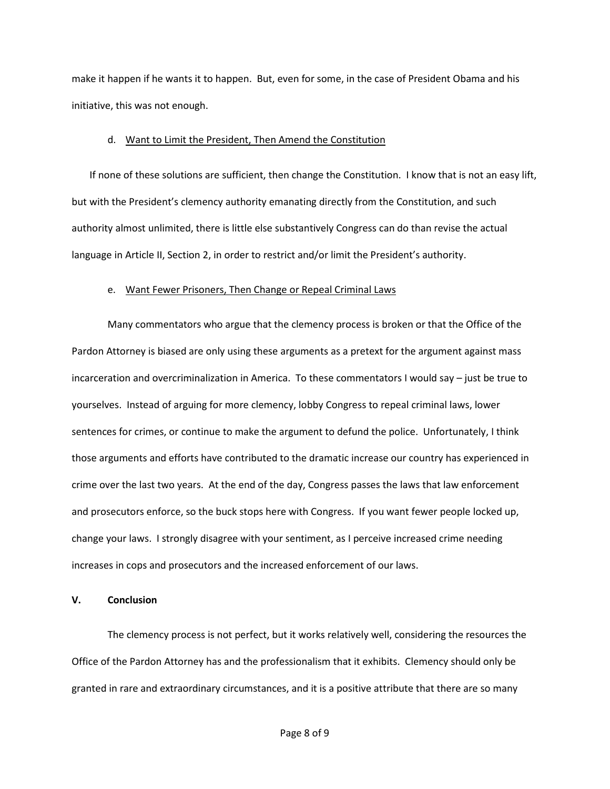make it happen if he wants it to happen. But, even for some, in the case of President Obama and his initiative, this was not enough.

#### d. Want to Limit the President, Then Amend the Constitution

If none of these solutions are sufficient, then change the Constitution. I know that is not an easy lift, but with the President's clemency authority emanating directly from the Constitution, and such authority almost unlimited, there is little else substantively Congress can do than revise the actual language in Article II, Section 2, in order to restrict and/or limit the President's authority.

### e. Want Fewer Prisoners, Then Change or Repeal Criminal Laws

Many commentators who argue that the clemency process is broken or that the Office of the Pardon Attorney is biased are only using these arguments as a pretext for the argument against mass incarceration and overcriminalization in America. To these commentators I would say – just be true to yourselves. Instead of arguing for more clemency, lobby Congress to repeal criminal laws, lower sentences for crimes, or continue to make the argument to defund the police. Unfortunately, I think those arguments and efforts have contributed to the dramatic increase our country has experienced in crime over the last two years. At the end of the day, Congress passes the laws that law enforcement and prosecutors enforce, so the buck stops here with Congress. If you want fewer people locked up, change your laws. I strongly disagree with your sentiment, as I perceive increased crime needing increases in cops and prosecutors and the increased enforcement of our laws.

#### **V. Conclusion**

The clemency process is not perfect, but it works relatively well, considering the resources the Office of the Pardon Attorney has and the professionalism that it exhibits. Clemency should only be granted in rare and extraordinary circumstances, and it is a positive attribute that there are so many